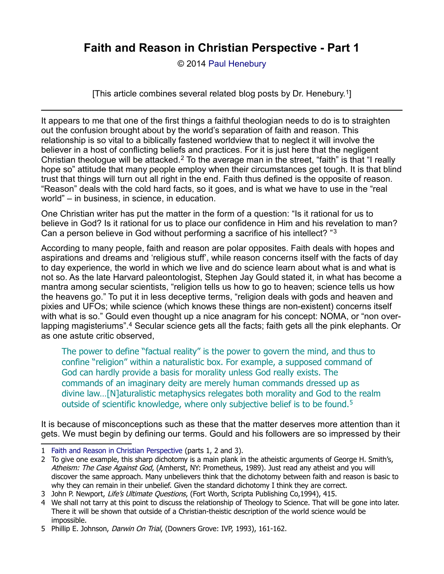© 2014 [Paul Henebury](http://www.spiritandtruth.org/id/ph.htm)

[This article combines several related blog posts by Dr. Henebury.[1](#page-0-0)]

It appears to me that one of the first things a faithful theologian needs to do is to straighten out the confusion brought about by the world's separation of faith and reason. This relationship is so vital to a biblically fastened worldview that to neglect it will involve the believer in a host of conflicting beliefs and practices. For it is just here that the negligent Christian theologue will be attacked.[2](#page-0-1) To the average man in the street, "faith" is that "I really hope so" attitude that many people employ when their circumstances get tough. It is that blind trust that things will turn out all right in the end. Faith thus defined is the opposite of reason. "Reason" deals with the cold hard facts, so it goes, and is what we have to use in the "real world" – in business, in science, in education.

One Christian writer has put the matter in the form of a question: "Is it rational for us to believe in God? Is it rational for us to place our confidence in Him and his revelation to man? Can a person believe in God without performing a sacrifice of his intellect? "[3](#page-0-2)

According to many people, faith and reason are polar opposites. Faith deals with hopes and aspirations and dreams and 'religious stuff', while reason concerns itself with the facts of day to day experience, the world in which we live and do science learn about what is and what is not so. As the late Harvard paleontologist, Stephen Jay Gould stated it, in what has become a mantra among secular scientists, "religion tells us how to go to heaven; science tells us how the heavens go." To put it in less deceptive terms, "religion deals with gods and heaven and pixies and UFOs; while science (which knows these things are non-existent) concerns itself with what is so." Gould even thought up a nice anagram for his concept: NOMA, or "non over-lapping magisteriums".<sup>[4](#page-0-3)</sup> Secular science gets all the facts; faith gets all the pink elephants. Or as one astute critic observed,

The power to define "factual reality" is the power to govern the mind, and thus to confine "religion" within a naturalistic box. For example, a supposed command of God can hardly provide a basis for morality unless God really exists. The commands of an imaginary deity are merely human commands dressed up as divine law…[N]aturalistic metaphysics relegates both morality and God to the realm outside of scientific knowledge, where only subjective belief is to be found.<sup>[5](#page-0-4)</sup>

It is because of misconceptions such as these that the matter deserves more attention than it gets. We must begin by defining our terms. Gould and his followers are so impressed by their

<span id="page-0-0"></span><sup>1</sup> [Faith and Reason in Christian Perspective](http://drreluctant.wordpress.com/2014/03/18/faith-and-reason-in-christian-perspective-pt-1/) (parts 1, 2 and 3).

<span id="page-0-1"></span><sup>2</sup> To give one example, this sharp dichotomy is a main plank in the atheistic arguments of George H. Smith's, Atheism: The Case Against God, (Amherst, NY: Prometheus, 1989). Just read any atheist and you will discover the same approach. Many unbelievers think that the dichotomy between faith and reason is basic to why they can remain in their unbelief. Given the standard dichotomy I think they are correct.

<span id="page-0-2"></span><sup>3</sup> John P. Newport, Life's Ultimate Questions, (Fort Worth, Scripta Publishing Co,1994), 415.

<span id="page-0-3"></span><sup>4</sup> We shall not tarry at this point to discuss the relationship of Theology to Science. That will be gone into later. There it will be shown that outside of a Christian-theistic description of the world science would be impossible.

<span id="page-0-4"></span><sup>5</sup> Phillip E. Johnson, Darwin On Trial, (Downers Grove: IVP, 1993), 161-162.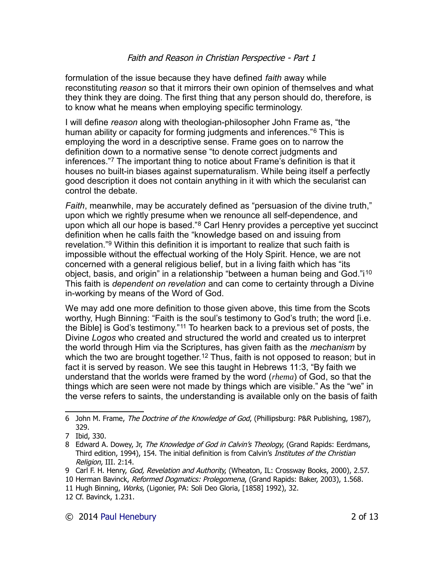formulation of the issue because they have defined *faith* away while reconstituting *reason* so that it mirrors their own opinion of themselves and what they think they are doing. The first thing that any person should do, therefore, is to know what he means when employing specific terminology.

I will define *reason* along with theologian-philosopher John Frame as, "the human ability or capacity for forming judgments and inferences."[6](#page-1-0) This is employing the word in a descriptive sense. Frame goes on to narrow the definition down to a normative sense "to denote correct judgments and inferences."[7](#page-1-1) The important thing to notice about Frame's definition is that it houses no built-in biases against supernaturalism. While being itself a perfectly good description it does not contain anything in it with which the secularist can control the debate.

*Faith*, meanwhile, may be accurately defined as "persuasion of the divine truth," upon which we rightly presume when we renounce all self-dependence, and upon which all our hope is based."[8](#page-1-2) Carl Henry provides a perceptive yet succinct definition when he calls faith the "knowledge based on and issuing from revelation."[9](#page-1-3) Within this definition it is important to realize that such faith is impossible without the effectual working of the Holy Spirit. Hence, we are not concerned with a general religious belief, but in a living faith which has "its object, basis, and origin" in a relationship "between a human being and God."i<sup>[10](#page-1-4)</sup> This faith is *dependent on revelation* and can come to certainty through a Divine in-working by means of the Word of God.

We may add one more definition to those given above, this time from the Scots worthy, Hugh Binning: "Faith is the soul's testimony to God's truth; the word [i.e. the Bible] is God's testimony."[11](#page-1-5) To hearken back to a previous set of posts, the Divine *Logos* who created and structured the world and created us to interpret the world through Him via the Scriptures, has given faith as the *mechanism* by which the two are brought together.<sup>[12](#page-1-6)</sup> Thus, faith is not opposed to reason; but in fact it is served by reason. We see this taught in Hebrews 11:3, "By faith we understand that the worlds were framed by the word (*rhema*) of God, so that the things which are seen were not made by things which are visible." As the "we" in the verse refers to saints, the understanding is available only on the basis of faith

<span id="page-1-5"></span>11 Hugh Binning, Works, (Ligonier, PA: Soli Deo Gloria, [1858] 1992), 32.

<span id="page-1-0"></span><sup>6</sup> John M. Frame, The Doctrine of the Knowledge of God, (Phillipsburg: P&R Publishing, 1987), 329.

<span id="page-1-1"></span><sup>7</sup> Ibid, 330.

<span id="page-1-2"></span><sup>8</sup> Edward A. Dowey, Jr, The Knowledge of God in Calvin's Theology, (Grand Rapids: Eerdmans, Third edition, 1994), 154. The initial definition is from Calvin's *Institutes of the Christian* Religion, III. 2:14.

<span id="page-1-3"></span><sup>9</sup> Carl F. H. Henry, God, Revelation and Authority, (Wheaton, IL: Crossway Books, 2000), 2.57.

<span id="page-1-4"></span><sup>10</sup> Herman Bavinck, Reformed Dogmatics: Prolegomena, (Grand Rapids: Baker, 2003), 1.568.

<span id="page-1-6"></span><sup>12</sup> Cf. Bavinck, 1.231.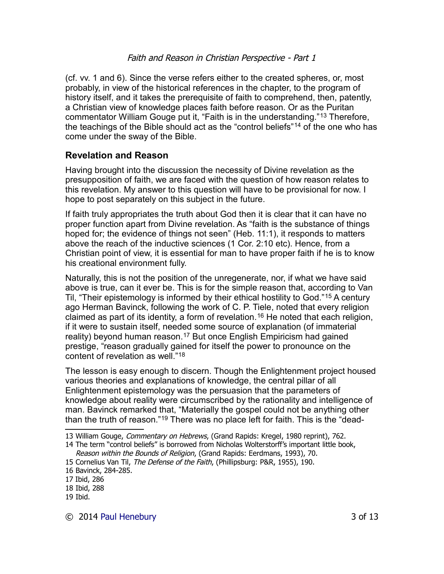(cf. vv. 1 and 6). Since the verse refers either to the created spheres, or, most probably, in view of the historical references in the chapter, to the program of history itself, and it takes the prerequisite of faith to comprehend, then, patently, a Christian view of knowledge places faith before reason. Or as the Puritan commentator William Gouge put it, "Faith is in the understanding."[13](#page-2-0) Therefore, the teachings of the Bible should act as the "control beliefs"[14](#page-2-1) of the one who has come under the sway of the Bible.

## **Revelation and Reason**

Having brought into the discussion the necessity of Divine revelation as the presupposition of faith, we are faced with the question of how reason relates to this revelation. My answer to this question will have to be provisional for now. I hope to post separately on this subject in the future.

If faith truly appropriates the truth about God then it is clear that it can have no proper function apart from Divine revelation. As "faith is the substance of things hoped for; the evidence of things not seen" (Heb. 11:1), it responds to matters above the reach of the inductive sciences (1 Cor. 2:10 etc). Hence, from a Christian point of view, it is essential for man to have proper faith if he is to know his creational environment fully.

Naturally, this is not the position of the unregenerate, nor, if what we have said above is true, can it ever be. This is for the simple reason that, according to Van Til, "Their epistemology is informed by their ethical hostility to God."[15](#page-2-2) A century ago Herman Bavinck, following the work of C. P. Tiele, noted that every religion claimed as part of its identity, a form of revelation.[16](#page-2-3) He noted that each religion, if it were to sustain itself, needed some source of explanation (of immaterial reality) beyond human reason.<sup>[17](#page-2-4)</sup> But once English Empiricism had gained prestige, "reason gradually gained for itself the power to pronounce on the content of revelation as well."[18](#page-2-5)

The lesson is easy enough to discern. Though the Enlightenment project housed various theories and explanations of knowledge, the central pillar of all Enlightenment epistemology was the persuasion that the parameters of knowledge about reality were circumscribed by the rationality and intelligence of man. Bavinck remarked that, "Materially the gospel could not be anything other than the truth of reason."[19](#page-2-6) There was no place left for faith. This is the "dead-

<span id="page-2-0"></span><sup>13</sup> William Gouge, *Commentary on Hebrews*, (Grand Rapids: Kregel, 1980 reprint), 762.

<span id="page-2-1"></span><sup>14</sup> The term "control beliefs" is borrowed from Nicholas Wolterstorff's important little book,

Reason within the Bounds of Religion, (Grand Rapids: Eerdmans, 1993), 70.

<span id="page-2-2"></span><sup>15</sup> Cornelius Van Til, The Defense of the Faith, (Phillipsburg: P&R, 1955), 190.

<span id="page-2-3"></span><sup>16</sup> Bavinck, 284-285.

<span id="page-2-4"></span><sup>17</sup> Ibid, 286

<span id="page-2-5"></span><sup>18</sup> Ibid, 288

<span id="page-2-6"></span><sup>19</sup> Ibid.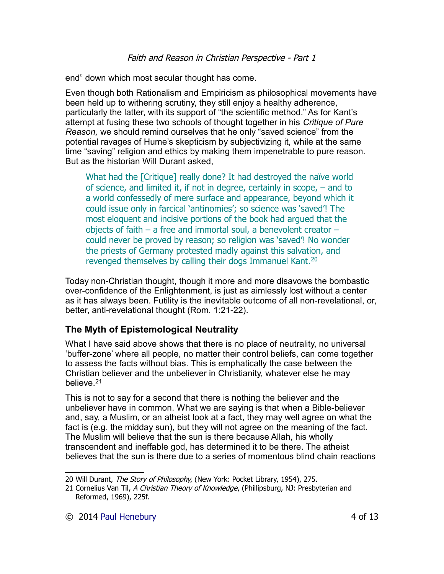end" down which most secular thought has come.

Even though both Rationalism and Empiricism as philosophical movements have been held up to withering scrutiny, they still enjoy a healthy adherence, particularly the latter, with its support of "the scientific method." As for Kant's attempt at fusing these two schools of thought together in his *Critique of Pure Reason,* we should remind ourselves that he only "saved science" from the potential ravages of Hume's skepticism by subjectivizing it, while at the same time "saving" religion and ethics by making them impenetrable to pure reason. But as the historian Will Durant asked,

What had the [Critique] really done? It had destroyed the naïve world of science, and limited it, if not in degree, certainly in scope, – and to a world confessedly of mere surface and appearance, beyond which it could issue only in farcical 'antinomies'; so science was 'saved'! The most eloquent and incisive portions of the book had argued that the objects of faith – a free and immortal soul, a benevolent creator – could never be proved by reason; so religion was 'saved'! No wonder the priests of Germany protested madly against this salvation, and revenged themselves by calling their dogs Immanuel Kant.<sup>[20](#page-3-0)</sup>

Today non-Christian thought, though it more and more disavows the bombastic over-confidence of the Enlightenment, is just as aimlessly lost without a center as it has always been. Futility is the inevitable outcome of all non-revelational, or, better, anti-revelational thought (Rom. 1:21-22).

## **The Myth of Epistemological Neutrality**

What I have said above shows that there is no place of neutrality, no universal 'buffer-zone' where all people, no matter their control beliefs, can come together to assess the facts without bias. This is emphatically the case between the Christian believer and the unbeliever in Christianity, whatever else he may believe<sup>[21](#page-3-1)</sup>

This is not to say for a second that there is nothing the believer and the unbeliever have in common. What we are saying is that when a Bible-believer and, say, a Muslim, or an atheist look at a fact, they may well agree on what the fact is (e.g. the midday sun), but they will not agree on the meaning of the fact. The Muslim will believe that the sun is there because Allah, his wholly transcendent and ineffable god, has determined it to be there. The atheist believes that the sun is there due to a series of momentous blind chain reactions

<span id="page-3-0"></span><sup>20</sup> Will Durant, The Story of Philosophy, (New York: Pocket Library, 1954), 275.

<span id="page-3-1"></span><sup>21</sup> Cornelius Van Til, A Christian Theory of Knowledge, (Phillipsburg, NJ: Presbyterian and Reformed, 1969), 225f.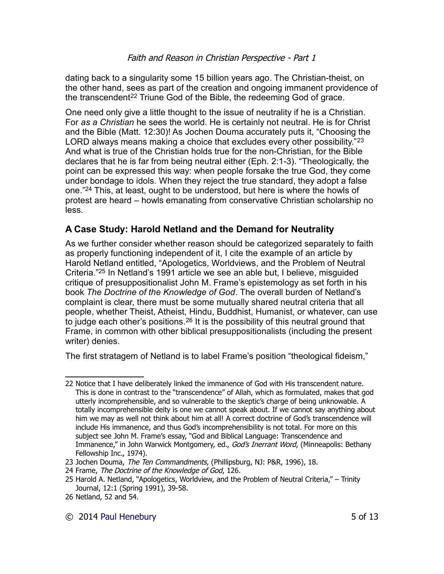dating back to a singularity some 15 billion years ago. The Christian-theist, on the other hand, sees as part of the creation and ongoing immanent providence of the transcendent<sup>[22](#page-4-0)</sup> Triune God of the Bible, the redeeming God of grace.

One need only give a little thought to the issue of neutrality if he is a Christian. For *as a Christian* he sees the world. He is certainly not neutral. He is for Christ and the Bible (Matt. 12:30)! As Jochen Douma accurately puts it, "Choosing the LORD always means making a choice that excludes every other possibility."<sup>[23](#page-4-1)</sup> And what is true of the Christian holds true for the non-Christian, for the Bible declares that he is far from being neutral either (Eph. 2:1-3). "Theologically, the point can be expressed this way: when people forsake the true God, they come under bondage to idols. When they reject the true standard, they adopt a false one."[24](#page-4-2) This, at least, ought to be understood, but here is where the howls of protest are heard – howls emanating from conservative Christian scholarship no less.

# **A Case Study: Harold Netland and the Demand for Neutrality**

As we further consider whether reason should be categorized separately to faith as properly functioning independent of it, I cite the example of an article by Harold Netland entitled, "Apologetics, Worldviews, and the Problem of Neutral Criteria."[25](#page-4-3) In Netland's 1991 article we see an able but, I believe, misguided critique of presuppositionalist John M. Frame's epistemology as set forth in his book *The Doctrine of the Knowledge of God*. The overall burden of Netland's complaint is clear, there must be some mutually shared neutral criteria that all people, whether Theist, Atheist, Hindu, Buddhist, Humanist, or whatever, can use to judge each other's positions.[26](#page-4-4) It is the possibility of this neutral ground that Frame, in common with other biblical presuppositionalists (including the present writer) denies.

The first stratagem of Netland is to label Frame's position "theological fideism,"

<span id="page-4-0"></span><sup>22</sup> Notice that I have deliberately linked the immanence of God with His transcendent nature. This is done in contrast to the "transcendence" of Allah, which as formulated, makes that god utterly incomprehensible, and so vulnerable to the skeptic's charge of being unknowable. A totally incomprehensible deity is one we cannot speak about. If we cannot say anything about him we may as well not think about him at all! A correct doctrine of God's transcendence will include His immanence, and thus God's incomprehensibility is not total. For more on this subject see John M. Frame's essay, "God and Biblical Language: Transcendence and Immanence," in John Warwick Montgomery, ed., God's Inerrant Word, (Minneapolis: Bethany Fellowship Inc., 1974).

<span id="page-4-1"></span><sup>23</sup> Jochen Douma, The Ten Commandments, (Phillipsburg, NJ: P&R, 1996), 18.

<span id="page-4-2"></span><sup>24</sup> Frame, The Doctrine of the Knowledge of God, 126.

<span id="page-4-3"></span><sup>25</sup> Harold A. Netland, "Apologetics, Worldview, and the Problem of Neutral Criteria," – Trinity Journal, 12:1 (Spring 1991), 39-58.

<span id="page-4-4"></span><sup>26</sup> Netland, 52 and 54.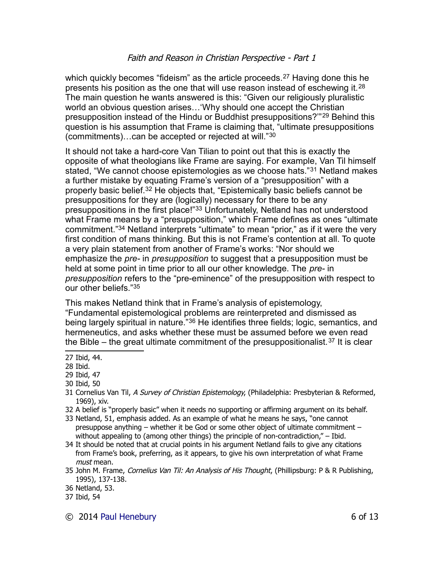which quickly becomes "fideism" as the article proceeds.<sup>[27](#page-5-0)</sup> Having done this he presents his position as the one that will use reason instead of eschewing it.<sup>[28](#page-5-1)</sup> The main question he wants answered is this: "Given our religiously pluralistic world an obvious question arises…'Why should one accept the Christian presupposition instead of the Hindu or Buddhist presuppositions?'"[29](#page-5-2) Behind this question is his assumption that Frame is claiming that, "ultimate presuppositions (commitments)…can be accepted or rejected at will."[30](#page-5-3)

It should not take a hard-core Van Tilian to point out that this is exactly the opposite of what theologians like Frame are saying. For example, Van Til himself stated, "We cannot choose epistemologies as we choose hats."[31](#page-5-4) Netland makes a further mistake by equating Frame's version of a "presupposition" with a properly basic belief.[32](#page-5-5) He objects that, "Epistemically basic beliefs cannot be presuppositions for they are (logically) necessary for there to be any presuppositions in the first place!"[33](#page-5-6) Unfortunately, Netland has not understood what Frame means by a "presupposition," which Frame defines as ones "ultimate commitment."[34](#page-5-7) Netland interprets "ultimate" to mean "prior," as if it were the very first condition of mans thinking. But this is not Frame's contention at all. To quote a very plain statement from another of Frame's works: "Nor should we emphasize the *pre-* in *presupposition* to suggest that a presupposition must be held at some point in time prior to all our other knowledge. The *pre-* in *presupposition* refers to the "pre-eminence" of the presupposition with respect to our other beliefs."[35](#page-5-8)

This makes Netland think that in Frame's analysis of epistemology,

"Fundamental epistemological problems are reinterpreted and dismissed as being largely spiritual in nature.<sup>"[36](#page-5-9)</sup> He identifies three fields; logic, semantics, and hermeneutics, and asks whether these must be assumed before we even read the Bible – the great ultimate commitment of the presuppositionalist.<sup>[37](#page-5-10)</sup> It is clear

- <span id="page-5-5"></span>32 A belief is "properly basic" when it needs no supporting or affirming argument on its behalf.
- <span id="page-5-6"></span>33 Netland, 51, emphasis added. As an example of what he means he says, "one cannot presuppose anything – whether it be God or some other object of ultimate commitment – without appealing to (among other things) the principle of non-contradiction," – Ibid.
- <span id="page-5-7"></span>34 It should be noted that at crucial points in his argument Netland fails to give any citations from Frame's book, preferring, as it appears, to give his own interpretation of what Frame must mean.
- <span id="page-5-8"></span>35 John M. Frame, Cornelius Van Til: An Analysis of His Thought, (Phillipsburg: P & R Publishing, 1995), 137-138.

© 2014 [Paul Henebury](http://www.spiritandtruth.org/id/ph.htm) 6 of 13

<span id="page-5-0"></span><sup>27</sup> Ibid, 44.

<span id="page-5-1"></span><sup>28</sup> Ibid.

<span id="page-5-2"></span><sup>29</sup> Ibid, 47

<span id="page-5-3"></span><sup>30</sup> Ibid, 50

<span id="page-5-4"></span><sup>31</sup> Cornelius Van Til, A Survey of Christian Epistemology, (Philadelphia: Presbyterian & Reformed, 1969), xiv.

<span id="page-5-9"></span><sup>36</sup> Netland, 53.

<span id="page-5-10"></span><sup>37</sup> Ibid, 54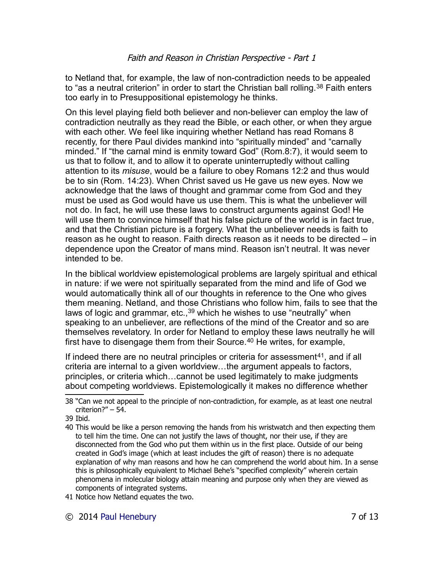to Netland that, for example, the law of non-contradiction needs to be appealed to "as a neutral criterion" in order to start the Christian ball rolling.<sup>[38](#page-6-0)</sup> Faith enters too early in to Presuppositional epistemology he thinks.

On this level playing field both believer and non-believer can employ the law of contradiction neutrally as they read the Bible, or each other, or when they argue with each other. We feel like inquiring whether Netland has read Romans 8 recently, for there Paul divides mankind into "spiritually minded" and "carnally minded." If "the carnal mind is enmity toward God" (Rom.8:7), it would seem to us that to follow it, and to allow it to operate uninterruptedly without calling attention to its *misuse*, would be a failure to obey Romans 12:2 and thus would be to sin (Rom. 14:23). When Christ saved us He gave us new eyes. Now we acknowledge that the laws of thought and grammar come from God and they must be used as God would have us use them. This is what the unbeliever will not do. In fact, he will use these laws to construct arguments against God! He will use them to convince himself that his false picture of the world is in fact true, and that the Christian picture is a forgery. What the unbeliever needs is faith to reason as he ought to reason. Faith directs reason as it needs to be directed – in dependence upon the Creator of mans mind. Reason isn't neutral. It was never intended to be.

In the biblical worldview epistemological problems are largely spiritual and ethical in nature: if we were not spiritually separated from the mind and life of God we would automatically think all of our thoughts in reference to the One who gives them meaning. Netland, and those Christians who follow him, fails to see that the laws of logic and grammar, etc.,  $39$  which he wishes to use "neutrally" when speaking to an unbeliever, are reflections of the mind of the Creator and so are themselves revelatory. In order for Netland to employ these laws neutrally he will first have to disengage them from their Source.<sup>[40](#page-6-2)</sup> He writes, for example,

If indeed there are no neutral principles or criteria for assessment[41](#page-6-3), and if all criteria are internal to a given worldview…the argument appeals to factors, principles, or criteria which…cannot be used legitimately to make judgments about competing worldviews. Epistemologically it makes no difference whether

<span id="page-6-3"></span>41 Notice how Netland equates the two.

<span id="page-6-0"></span><sup>38</sup> "Can we not appeal to the principle of non-contradiction, for example, as at least one neutral criterion?" – 54.

<span id="page-6-1"></span><sup>39</sup> Ibid.

<span id="page-6-2"></span><sup>40</sup> This would be like a person removing the hands from his wristwatch and then expecting them to tell him the time. One can not justify the laws of thought, nor their use, if they are disconnected from the God who put them within us in the first place. Outside of our being created in God's image (which at least includes the gift of reason) there is no adequate explanation of why man reasons and how he can comprehend the world about him. In a sense this is philosophically equivalent to Michael Behe's "specified complexity" wherein certain phenomena in molecular biology attain meaning and purpose only when they are viewed as components of integrated systems.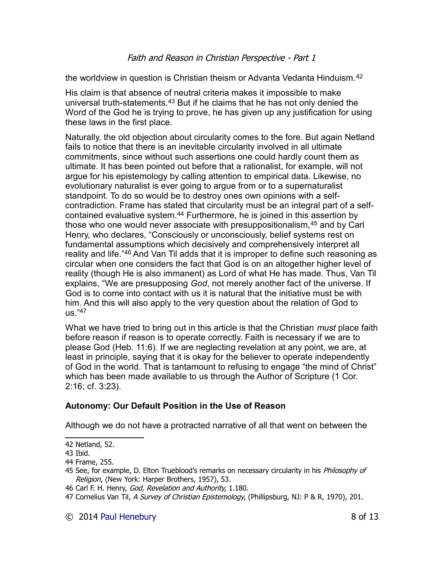the worldview in question is Christian theism or Advanta Vedanta Hinduism.<sup>[42](#page-7-0)</sup>

His claim is that absence of neutral criteria makes it impossible to make universal truth-statements.[43](#page-7-1) But if he claims that he has not only denied the Word of the God he is trying to prove, he has given up any justification for using these laws in the first place.

Naturally, the old objection about circularity comes to the fore. But again Netland fails to notice that there is an inevitable circularity involved in all ultimate commitments, since without such assertions one could hardly count them as ultimate. It has been pointed out before that a rationalist, for example, will not argue for his epistemology by calling attention to empirical data. Likewise, no evolutionary naturalist is ever going to argue from or to a supernaturalist standpoint. To do so would be to destroy ones own opinions with a selfcontradiction. Frame has stated that circularity must be an integral part of a self-contained evaluative system.<sup>[44](#page-7-2)</sup> Furthermore, he is joined in this assertion by those who one would never associate with presuppositionalism,[45](#page-7-3) and by Carl Henry, who declares, "Consciously or unconsciously, belief systems rest on fundamental assumptions which decisively and comprehensively interpret all reality and life."[46](#page-7-4) And Van Til adds that it is improper to define such reasoning as circular when one considers the fact that God is on an altogether higher level of reality (though He is also immanent) as Lord of what He has made. Thus, Van Til explains, "We are presupposing *God*, not merely another fact of the universe. If God is to come into contact with us it is natural that the initiative must be with him. And this will also apply to the very question about the relation of God to  $\mu$ s." $47$ 

What we have tried to bring out in this article is that the Christian *must* place faith before reason if reason is to operate correctly. Faith is necessary if we are to please God (Heb. 11:6). If we are neglecting revelation at any point, we are, at least in principle, saying that it is okay for the believer to operate independently of God in the world. That is tantamount to refusing to engage "the mind of Christ" which has been made available to us through the Author of Scripture (1 Cor. 2:16; cf. 3:23).

#### **Autonomy: Our Default Position in the Use of Reason**

Although we do not have a protracted narrative of all that went on between the

<span id="page-7-0"></span><sup>42</sup> Netland, 52.

<span id="page-7-1"></span><sup>43</sup> Ibid.

<span id="page-7-2"></span><sup>44</sup> Frame, 255.

<span id="page-7-3"></span><sup>45</sup> See, for example, D. Elton Trueblood's remarks on necessary circularity in his Philosophy of Religion, (New York: Harper Brothers, 1957), 53.

<span id="page-7-4"></span><sup>46</sup> Carl F. H. Henry, God, Revelation and Authority, 1.180.

<span id="page-7-5"></span><sup>47</sup> Cornelius Van Til, A Survey of Christian Epistemology, (Phillipsburg, NJ: P & R, 1970), 201.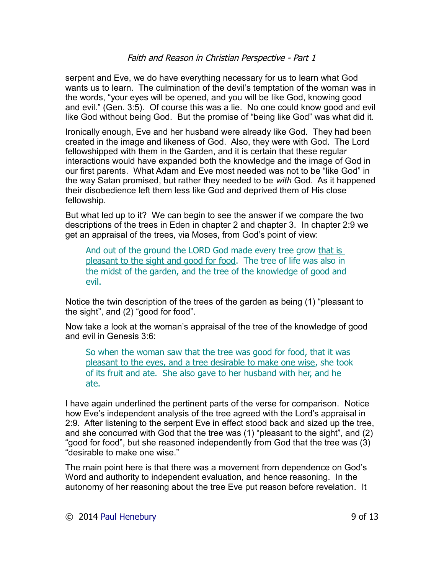serpent and Eve, we do have everything necessary for us to learn what God wants us to learn. The culmination of the devil's temptation of the woman was in the words, "your eyes will be opened, and you will be like God, knowing good and evil." (Gen. 3:5). Of course this was a lie. No one could know good and evil like God without being God. But the promise of "being like God" was what did it.

Ironically enough, Eve and her husband were already like God. They had been created in the image and likeness of God. Also, they were with God. The Lord fellowshipped with them in the Garden, and it is certain that these regular interactions would have expanded both the knowledge and the image of God in our first parents. What Adam and Eve most needed was not to be "like God" in the way Satan promised, but rather they needed to be *with* God. As it happened their disobedience left them less like God and deprived them of His close fellowship.

But what led up to it? We can begin to see the answer if we compare the two descriptions of the trees in Eden in chapter 2 and chapter 3. In chapter 2:9 we get an appraisal of the trees, via Moses, from God's point of view:

And out of the ground the LORD God made every tree grow that is pleasant to the sight and good for food. The tree of life was also in the midst of the garden, and the tree of the knowledge of good and evil.

Notice the twin description of the trees of the garden as being (1) "pleasant to the sight", and (2) "good for food".

Now take a look at the woman's appraisal of the tree of the knowledge of good and evil in Genesis 3:6:

So when the woman saw that the tree was good for food, that it was pleasant to the eyes, and a tree desirable to make one wise, she took of its fruit and ate. She also gave to her husband with her, and he ate.

I have again underlined the pertinent parts of the verse for comparison. Notice how Eve's independent analysis of the tree agreed with the Lord's appraisal in 2:9. After listening to the serpent Eve in effect stood back and sized up the tree, and she concurred with God that the tree was (1) "pleasant to the sight", and (2) "good for food", but she reasoned independently from God that the tree was (3) "desirable to make one wise."

The main point here is that there was a movement from dependence on God's Word and authority to independent evaluation, and hence reasoning. In the autonomy of her reasoning about the tree Eve put reason before revelation. It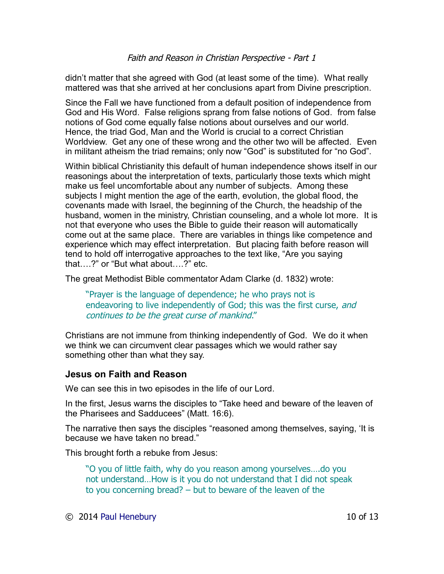didn't matter that she agreed with God (at least some of the time). What really mattered was that she arrived at her conclusions apart from Divine prescription.

Since the Fall we have functioned from a default position of independence from God and His Word. False religions sprang from false notions of God. from false notions of God come equally false notions about ourselves and our world. Hence, the triad God, Man and the World is crucial to a correct Christian Worldview. Get any one of these wrong and the other two will be affected. Even in militant atheism the triad remains; only now "God" is substituted for "no God".

Within biblical Christianity this default of human independence shows itself in our reasonings about the interpretation of texts, particularly those texts which might make us feel uncomfortable about any number of subjects. Among these subjects I might mention the age of the earth, evolution, the global flood, the covenants made with Israel, the beginning of the Church, the headship of the husband, women in the ministry, Christian counseling, and a whole lot more. It is not that everyone who uses the Bible to guide their reason will automatically come out at the same place. There are variables in things like competence and experience which may effect interpretation. But placing faith before reason will tend to hold off interrogative approaches to the text like, "Are you saying that….?" or "But what about….?" etc.

The great Methodist Bible commentator Adam Clarke (d. 1832) wrote:

"Prayer is the language of dependence; he who prays not is endeavoring to live independently of God; this was the first curse, and continues to be the great curse of mankind."

Christians are not immune from thinking independently of God. We do it when we think we can circumvent clear passages which we would rather say something other than what they say.

## **Jesus on Faith and Reason**

We can see this in two episodes in the life of our Lord.

In the first, Jesus warns the disciples to "Take heed and beware of the leaven of the Pharisees and Sadducees" (Matt. 16:6).

The narrative then says the disciples "reasoned among themselves, saying, 'It is because we have taken no bread."

This brought forth a rebuke from Jesus:

"O you of little faith, why do you reason among yourselves….do you not understand…How is it you do not understand that I did not speak to you concerning bread? – but to beware of the leaven of the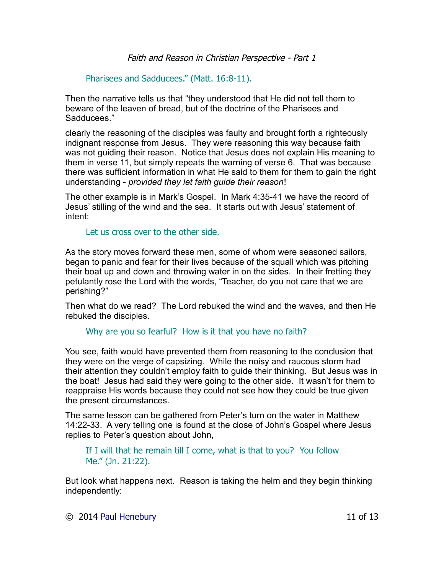Pharisees and Sadducees." (Matt. 16:8-11).

Then the narrative tells us that "they understood that He did not tell them to beware of the leaven of bread, but of the doctrine of the Pharisees and Sadducees."

clearly the reasoning of the disciples was faulty and brought forth a righteously indignant response from Jesus. They were reasoning this way because faith was not guiding their reason. Notice that Jesus does not explain His meaning to them in verse 11, but simply repeats the warning of verse 6. That was because there was sufficient information in what He said to them for them to gain the right understanding - *provided they let faith guide their reason*!

The other example is in Mark's Gospel. In Mark 4:35-41 we have the record of Jesus' stilling of the wind and the sea. It starts out with Jesus' statement of intent:

Let us cross over to the other side.

As the story moves forward these men, some of whom were seasoned sailors, began to panic and fear for their lives because of the squall which was pitching their boat up and down and throwing water in on the sides. In their fretting they petulantly rose the Lord with the words, "Teacher, do you not care that we are perishing?"

Then what do we read? The Lord rebuked the wind and the waves, and then He rebuked the disciples.

## Why are you so fearful? How is it that you have no faith?

You see, faith would have prevented them from reasoning to the conclusion that they were on the verge of capsizing. While the noisy and raucous storm had their attention they couldn't employ faith to guide their thinking. But Jesus was in the boat! Jesus had said they were going to the other side. It wasn't for them to reappraise His words because they could not see how they could be true given the present circumstances.

The same lesson can be gathered from Peter's turn on the water in Matthew 14:22-33. A very telling one is found at the close of John's Gospel where Jesus replies to Peter's question about John,

If I will that he remain till I come, what is that to you? You follow Me." (Jn. 21:22).

But look what happens next. Reason is taking the helm and they begin thinking independently: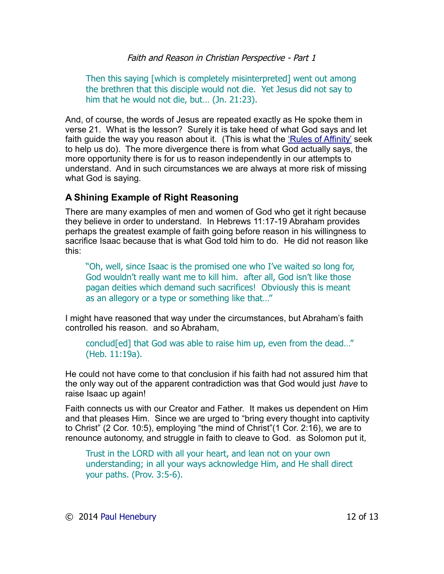Then this saying [which is completely misinterpreted] went out among the brethren that this disciple would not die. Yet Jesus did not say to him that he would not die, but... (Jn. 21:23).

And, of course, the words of Jesus are repeated exactly as He spoke them in verse 21. What is the lesson? Surely it is take heed of what God says and let faith quide the way you reason about it. (This is what the ['Rules of Affinity'](http://drreluctant.wordpress.com/2013/02/26/the-rules-of-affinity-simplified/) seek to help us do). The more divergence there is from what God actually says, the more opportunity there is for us to reason independently in our attempts to understand. And in such circumstances we are always at more risk of missing what God is saying.

## **A Shining Example of Right Reasoning**

There are many examples of men and women of God who get it right because they believe in order to understand. In Hebrews 11:17-19 Abraham provides perhaps the greatest example of faith going before reason in his willingness to sacrifice Isaac because that is what God told him to do. He did not reason like this:

"Oh, well, since Isaac is the promised one who I've waited so long for, God wouldn't really want me to kill him. after all, God isn't like those pagan deities which demand such sacrifices! Obviously this is meant as an allegory or a type or something like that…"

I might have reasoned that way under the circumstances, but Abraham's faith controlled his reason. and so Abraham,

conclud[ed] that God was able to raise him up, even from the dead…" (Heb. 11:19a).

He could not have come to that conclusion if his faith had not assured him that the only way out of the apparent contradiction was that God would just *have* to raise Isaac up again!

Faith connects us with our Creator and Father. It makes us dependent on Him and that pleases Him. Since we are urged to "bring every thought into captivity to Christ" (2 Cor. 10:5), employing "the mind of Christ"(1 Cor. 2:16), we are to renounce autonomy, and struggle in faith to cleave to God. as Solomon put it,

Trust in the LORD with all your heart, and lean not on your own understanding; in all your ways acknowledge Him, and He shall direct your paths. (Prov. 3:5-6).